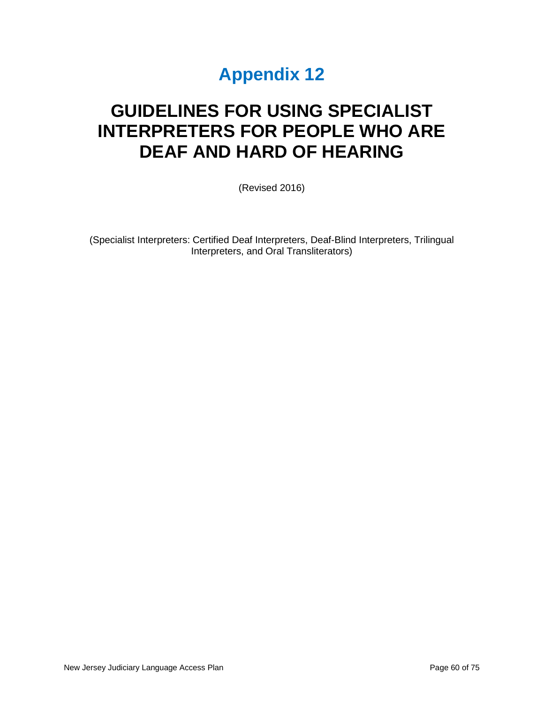# **Appendix 12**

# **GUIDELINES FOR USING SPECIALIST INTERPRETERS FOR PEOPLE WHO ARE DEAF AND HARD OF HEARING**

(Revised 2016)

(Specialist Interpreters: Certified Deaf Interpreters, Deaf-Blind Interpreters, Trilingual Interpreters, and Oral Transliterators)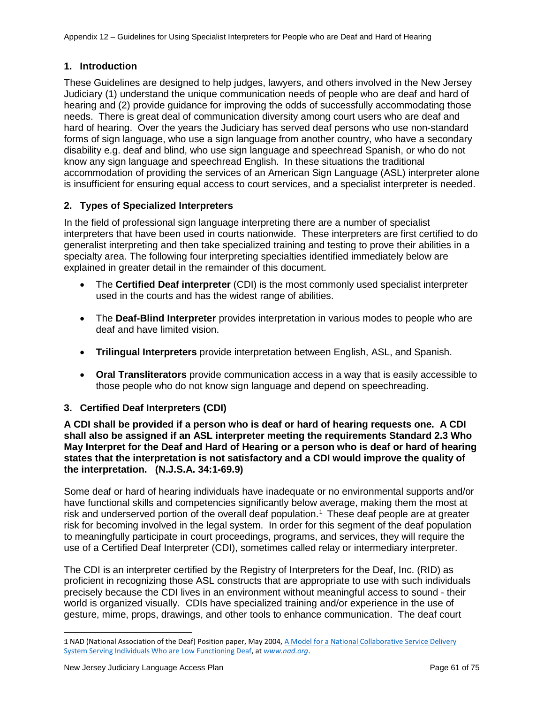# **1. Introduction**

These Guidelines are designed to help judges, lawyers, and others involved in the New Jersey Judiciary (1) understand the unique communication needs of people who are deaf and hard of hearing and (2) provide guidance for improving the odds of successfully accommodating those needs. There is great deal of communication diversity among court users who are deaf and hard of hearing. Over the years the Judiciary has served deaf persons who use non-standard forms of sign language, who use a sign language from another country, who have a secondary disability e.g. deaf and blind, who use sign language and speechread Spanish, or who do not know any sign language and speechread English. In these situations the traditional accommodation of providing the services of an American Sign Language (ASL) interpreter alone is insufficient for ensuring equal access to court services, and a specialist interpreter is needed.

# **2. Types of Specialized Interpreters**

In the field of professional sign language interpreting there are a number of specialist interpreters that have been used in courts nationwide. These interpreters are first certified to do generalist interpreting and then take specialized training and testing to prove their abilities in a specialty area. The following four interpreting specialties identified immediately below are explained in greater detail in the remainder of this document.

- The **Certified Deaf interpreter** (CDI) is the most commonly used specialist interpreter used in the courts and has the widest range of abilities.
- The **Deaf-Blind Interpreter** provides interpretation in various modes to people who are deaf and have limited vision.
- **Trilingual Interpreters** provide interpretation between English, ASL, and Spanish.
- **Oral Transliterators** provide communication access in a way that is easily accessible to those people who do not know sign language and depend on speechreading.

## **3. Certified Deaf Interpreters (CDI)**

**A CDI shall be provided if a person who is deaf or hard of hearing requests one. A CDI shall also be assigned if an ASL interpreter meeting the requirements Standard 2.3 Who May Interpret for the Deaf and Hard of Hearing or a person who is deaf or hard of hearing states that the interpretation is not satisfactory and a CDI would improve the quality of the interpretation. (N.J.S.A. 34:1-69.9)**

Some deaf or hard of hearing individuals have inadequate or no environmental supports and/or have functional skills and competencies significantly below average, making them the most at risk and underserved portion of the overall deaf population.<sup>[1](#page-1-0)</sup> These deaf people are at greater risk for becoming involved in the legal system. In order for this segment of the deaf population to meaningfully participate in court proceedings, programs, and services, they will require the use of a Certified Deaf Interpreter (CDI), sometimes called relay or intermediary interpreter.

The CDI is an interpreter certified by the Registry of Interpreters for the Deaf, Inc. (RID) as proficient in recognizing those ASL constructs that are appropriate to use with such individuals precisely because the CDI lives in an environment without meaningful access to sound - their world is organized visually. CDIs have specialized training and/or experience in the use of gesture, mime, props, drawings, and other tools to enhance communication. The deaf court

<span id="page-1-0"></span><sup>1</sup> NAD (National Association of the Deaf) Position paper, May 2004, <u>A Model for a National Collaborative Service Delivery</u> [System Serving Individuals Who are Low Functioning Deaf,](https://www.google.com/url?q=https://nad.org/sites/default/files/LFDPosition.pdf&) at *[www.nad.org](http://www.nad.org/)*.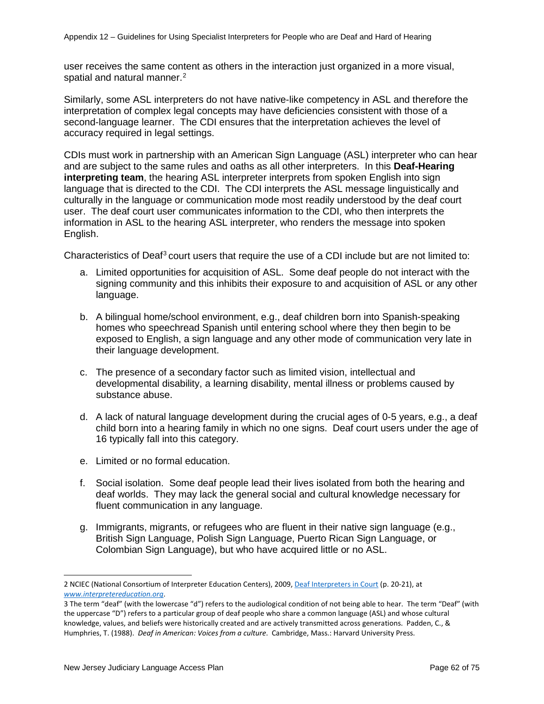user receives the same content as others in the interaction just organized in a more visual, spatial and natural manner.<sup>[2](#page-2-0)</sup>

Similarly, some ASL interpreters do not have native-like competency in ASL and therefore the interpretation of complex legal concepts may have deficiencies consistent with those of a second-language learner. The CDI ensures that the interpretation achieves the level of accuracy required in legal settings.

CDIs must work in partnership with an American Sign Language (ASL) interpreter who can hear and are subject to the same rules and oaths as all other interpreters. In this **Deaf-Hearing interpreting team**, the hearing ASL interpreter interprets from spoken English into sign language that is directed to the CDI. The CDI interprets the ASL message linguistically and culturally in the language or communication mode most readily understood by the deaf court user. The deaf court user communicates information to the CDI, who then interprets the information in ASL to the hearing ASL interpreter, who renders the message into spoken English.

Characteristics of Deaf<sup>[3](#page-2-1)</sup> court users that require the use of a CDI include but are not limited to:

- a. Limited opportunities for acquisition of ASL. Some deaf people do not interact with the signing community and this inhibits their exposure to and acquisition of ASL or any other language.
- b. A bilingual home/school environment, e.g., deaf children born into Spanish-speaking homes who speechread Spanish until entering school where they then begin to be exposed to English, a sign language and any other mode of communication very late in their language development.
- c. The presence of a secondary factor such as limited vision, intellectual and developmental disability, a learning disability, mental illness or problems caused by substance abuse.
- d. A lack of natural language development during the crucial ages of 0-5 years, e.g., a deaf child born into a hearing family in which no one signs. Deaf court users under the age of 16 typically fall into this category.
- e. Limited or no formal education.
- f. Social isolation. Some deaf people lead their lives isolated from both the hearing and deaf worlds. They may lack the general social and cultural knowledge necessary for fluent communication in any language.
- g. Immigrants, migrants, or refugees who are fluent in their native sign language (e.g., British Sign Language, Polish Sign Language, Puerto Rican Sign Language, or Colombian Sign Language), but who have acquired little or no ASL.

<span id="page-2-0"></span><sup>2</sup> NCIEC (National Consortium of Interpreter Education Centers), 2009[, Deaf Interpreters in Court](https://www.google.com/url?q=http://www.interpretereducation.org/wp-) (p. 20-21), at *[www.interpretereducation.org](http://www.interpretereducation.org/)*.

<span id="page-2-1"></span><sup>3</sup> The term "deaf" (with the lowercase "d") refers to the audiological condition of not being able to hear. The term "Deaf" (with the uppercase "D") refers to a particular group of deaf people who share a common language (ASL) and whose cultural knowledge, values, and beliefs were historically created and are actively transmitted across generations. Padden, C., & Humphries, T. (1988). *Deaf in American: Voices from a culture*. Cambridge, Mass.: Harvard University Press.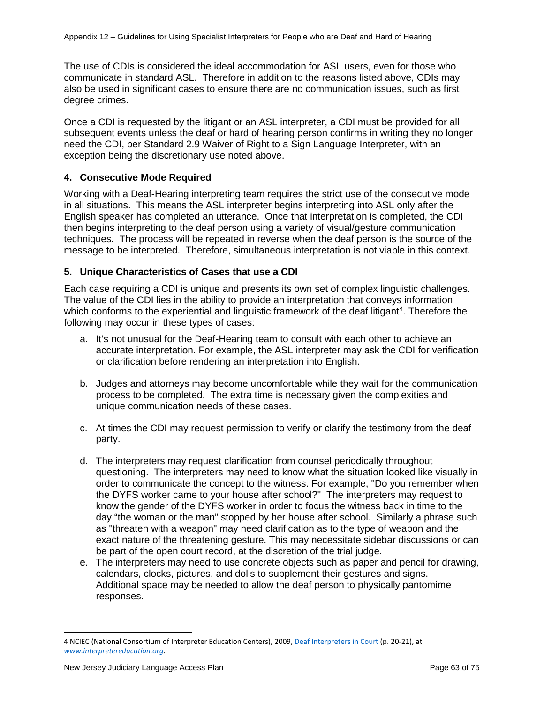The use of CDIs is considered the ideal accommodation for ASL users, even for those who communicate in standard ASL. Therefore in addition to the reasons listed above, CDIs may also be used in significant cases to ensure there are no communication issues, such as first degree crimes.

Once a CDI is requested by the litigant or an ASL interpreter, a CDI must be provided for all subsequent events unless the deaf or hard of hearing person confirms in writing they no longer need the CDI, per Standard 2.9 Waiver of Right to a Sign Language Interpreter, with an exception being the discretionary use noted above.

## **4. Consecutive Mode Required**

Working with a Deaf-Hearing interpreting team requires the strict use of the consecutive mode in all situations. This means the ASL interpreter begins interpreting into ASL only after the English speaker has completed an utterance. Once that interpretation is completed, the CDI then begins interpreting to the deaf person using a variety of visual/gesture communication techniques. The process will be repeated in reverse when the deaf person is the source of the message to be interpreted. Therefore, simultaneous interpretation is not viable in this context.

## **5. Unique Characteristics of Cases that use a CDI**

Each case requiring a CDI is unique and presents its own set of complex linguistic challenges. The value of the CDI lies in the ability to provide an interpretation that conveys information which conforms to the experiential and linguistic framework of the deaf litigant<sup>[4](#page-3-0)</sup>. Therefore the following may occur in these types of cases:

- a. It's not unusual for the Deaf-Hearing team to consult with each other to achieve an accurate interpretation. For example, the ASL interpreter may ask the CDI for verification or clarification before rendering an interpretation into English.
- b. Judges and attorneys may become uncomfortable while they wait for the communication process to be completed. The extra time is necessary given the complexities and unique communication needs of these cases.
- c. At times the CDI may request permission to verify or clarify the testimony from the deaf party.
- d. The interpreters may request clarification from counsel periodically throughout questioning. The interpreters may need to know what the situation looked like visually in order to communicate the concept to the witness. For example, "Do you remember when the DYFS worker came to your house after school?" The interpreters may request to know the gender of the DYFS worker in order to focus the witness back in time to the day "the woman or the man" stopped by her house after school. Similarly a phrase such as "threaten with a weapon" may need clarification as to the type of weapon and the exact nature of the threatening gesture. This may necessitate sidebar discussions or can be part of the open court record, at the discretion of the trial judge.
- e. The interpreters may need to use concrete objects such as paper and pencil for drawing, calendars, clocks, pictures, and dolls to supplement their gestures and signs. Additional space may be needed to allow the deaf person to physically pantomime responses.

<span id="page-3-0"></span><sup>4</sup> NCIEC (National Consortium of Interpreter Education Centers), 2009[, Deaf Interpreters in Court](http://www.interpretereducation.org/wp-content/uploads/2011/06/Deaf-Interpreter-in-Court_NCIEC2009.pdf) (p. 20-21), at *[www.interpretereducation.org](http://www.interpretereducation.org/)*.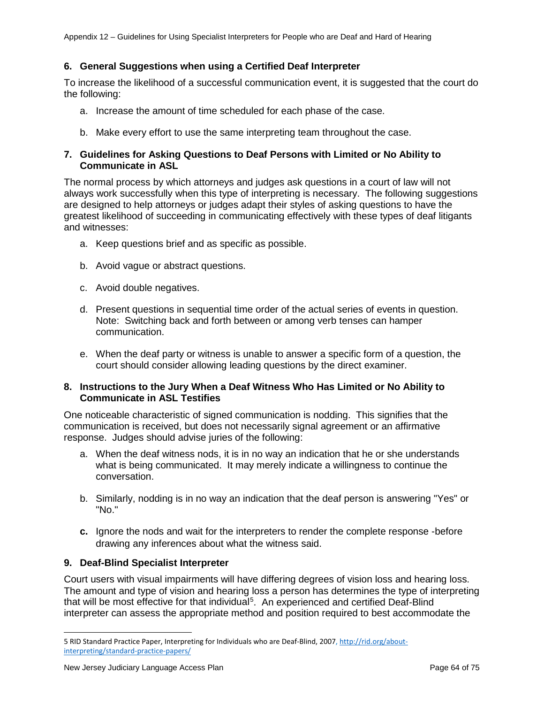## **6. General Suggestions when using a Certified Deaf Interpreter**

To increase the likelihood of a successful communication event, it is suggested that the court do the following:

- a. Increase the amount of time scheduled for each phase of the case.
- b. Make every effort to use the same interpreting team throughout the case.

### **7. Guidelines for Asking Questions to Deaf Persons with Limited or No Ability to Communicate in ASL**

The normal process by which attorneys and judges ask questions in a court of law will not always work successfully when this type of interpreting is necessary. The following suggestions are designed to help attorneys or judges adapt their styles of asking questions to have the greatest likelihood of succeeding in communicating effectively with these types of deaf litigants and witnesses:

- a. Keep questions brief and as specific as possible.
- b. Avoid vague or abstract questions.
- c. Avoid double negatives.
- d. Present questions in sequential time order of the actual series of events in question. Note: Switching back and forth between or among verb tenses can hamper communication.
- e. When the deaf party or witness is unable to answer a specific form of a question, the court should consider allowing leading questions by the direct examiner.

#### **8. Instructions to the Jury When a Deaf Witness Who Has Limited or No Ability to Communicate in ASL Testifies**

One noticeable characteristic of signed communication is nodding. This signifies that the communication is received, but does not necessarily signal agreement or an affirmative response. Judges should advise juries of the following:

- a. When the deaf witness nods, it is in no way an indication that he or she understands what is being communicated. It may merely indicate a willingness to continue the conversation.
- b. Similarly, nodding is in no way an indication that the deaf person is answering "Yes" or "No."
- **c.** Ignore the nods and wait for the interpreters to render the complete response -before drawing any inferences about what the witness said.

#### **9. Deaf-Blind Specialist Interpreter**

Court users with visual impairments will have differing degrees of vision loss and hearing loss. The amount and type of vision and hearing loss a person has determines the type of interpreting that will be most effective for that individual<sup>[5](#page-4-0)</sup>. An experienced and certified Deaf-Blind interpreter can assess the appropriate method and position required to best accommodate the

<span id="page-4-0"></span><sup>5</sup> RID Standard Practice Paper, Interpreting for Individuals who are Deaf-Blind, 2007, [http://rid.org/about](http://rid.org/about-interpreting/standard-practice-papers/)[interpreting/standard-practice-papers/](http://rid.org/about-interpreting/standard-practice-papers/)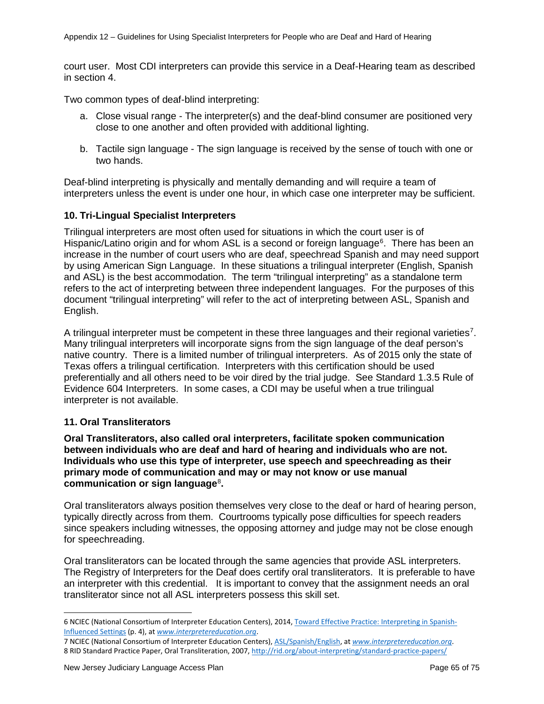court user. Most CDI interpreters can provide this service in a Deaf-Hearing team as described in section 4.

Two common types of deaf-blind interpreting:

- a. Close visual range The interpreter(s) and the deaf-blind consumer are positioned very close to one another and often provided with additional lighting.
- b. Tactile sign language The sign language is received by the sense of touch with one or two hands.

Deaf-blind interpreting is physically and mentally demanding and will require a team of interpreters unless the event is under one hour, in which case one interpreter may be sufficient.

## **10. Tri-Lingual Specialist Interpreters**

Trilingual interpreters are most often used for situations in which the court user is of Hispanic/Latino origin and for whom ASL is a second or foreign language<sup>[6](#page-5-0)</sup>. There has been an increase in the number of court users who are deaf, speechread Spanish and may need support by using American Sign Language. In these situations a trilingual interpreter (English, Spanish and ASL) is the best accommodation. The term "trilingual interpreting" as a standalone term refers to the act of interpreting between three independent languages. For the purposes of this document "trilingual interpreting" will refer to the act of interpreting between ASL, Spanish and English.

A trilingual interpreter must be competent in these three languages and their regional varieties<sup>[7](#page-5-1)</sup>. Many trilingual interpreters will incorporate signs from the sign language of the deaf person's native country. There is a limited number of trilingual interpreters. As of 2015 only the state of Texas offers a trilingual certification. Interpreters with this certification should be used preferentially and all others need to be voir dired by the trial judge. See Standard 1.3.5 Rule of Evidence 604 Interpreters. In some cases, a CDI may be useful when a true trilingual interpreter is not available.

## **11. Oral Transliterators**

**Oral Transliterators, also called oral interpreters, facilitate spoken communication between individuals who are deaf and hard of hearing and individuals who are not. Individuals who use this type of interpreter, use speech and speechreading as their primary mode of communication and may or may not know or use manual communication or sign language**[8](#page-5-2) **.**

Oral transliterators always position themselves very close to the deaf or hard of hearing person, typically directly across from them. Courtrooms typically pose difficulties for speech readers since speakers including witnesses, the opposing attorney and judge may not be close enough for speechreading.

Oral transliterators can be located through the same agencies that provide ASL interpreters. The Registry of Interpreters for the Deaf does certify oral transliterators. It is preferable to have an interpreter with this credential. It is important to convey that the assignment needs an oral transliterator since not all ASL interpreters possess this skill set.

<span id="page-5-0"></span><sup>6</sup> NCIEC (National Consortium of Interpreter Education Centers), 2014[, Toward Effective Practice: Interpreting in Spanish-](http://www.interpretereducation.org/wp-content/uploads/2014/04/Toward-Effective-Practice-Interpreting-in-Spanish-Influenced-Settings.pdf)[Influenced Settings](http://www.interpretereducation.org/wp-content/uploads/2014/04/Toward-Effective-Practice-Interpreting-in-Spanish-Influenced-Settings.pdf) (p. 4), at *[www.interpretereducation.org](http://www.interpretereducation.org/)*.

<span id="page-5-2"></span><span id="page-5-1"></span><sup>7</sup> NCIEC (National Consortium of Interpreter Education Centers), [ASL/Spanish/English,](http://www.interpretereducation.org/specialization/aslspanishenglish/) at *[www.interpretereducation.org](http://www.interpretereducation.org/)*. 8 RID Standard Practice Paper, Oral Transliteration, 2007[, http://rid.org/about-interpreting/standard-practice-papers/](http://rid.org/about-interpreting/standard-practice-papers/)